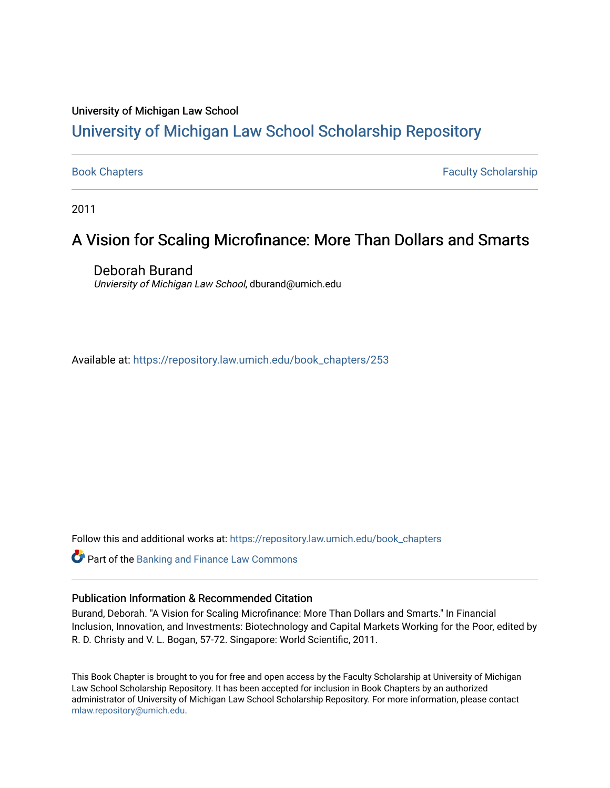#### University of Michigan Law School

# [University of Michigan Law School Scholarship Repository](https://repository.law.umich.edu/)

[Book Chapters](https://repository.law.umich.edu/book_chapters) Faculty Scholarship

2011

# A Vision for Scaling Microfinance: More Than Dollars and Smarts

Deborah Burand Unviersity of Michigan Law School, dburand@umich.edu

Available at: [https://repository.law.umich.edu/book\\_chapters/253](https://repository.law.umich.edu/book_chapters/253) 

Follow this and additional works at: [https://repository.law.umich.edu/book\\_chapters](https://repository.law.umich.edu/book_chapters?utm_source=repository.law.umich.edu%2Fbook_chapters%2F253&utm_medium=PDF&utm_campaign=PDFCoverPages)

Part of the [Banking and Finance Law Commons](http://network.bepress.com/hgg/discipline/833?utm_source=repository.law.umich.edu%2Fbook_chapters%2F253&utm_medium=PDF&utm_campaign=PDFCoverPages) 

#### Publication Information & Recommended Citation

Burand, Deborah. "A Vision for Scaling Microfinance: More Than Dollars and Smarts." In Financial Inclusion, Innovation, and Investments: Biotechnology and Capital Markets Working for the Poor, edited by R. D. Christy and V. L. Bogan, 57-72. Singapore: World Scientific, 2011.

This Book Chapter is brought to you for free and open access by the Faculty Scholarship at University of Michigan Law School Scholarship Repository. It has been accepted for inclusion in Book Chapters by an authorized administrator of University of Michigan Law School Scholarship Repository. For more information, please contact [mlaw.repository@umich.edu.](mailto:mlaw.repository@umich.edu)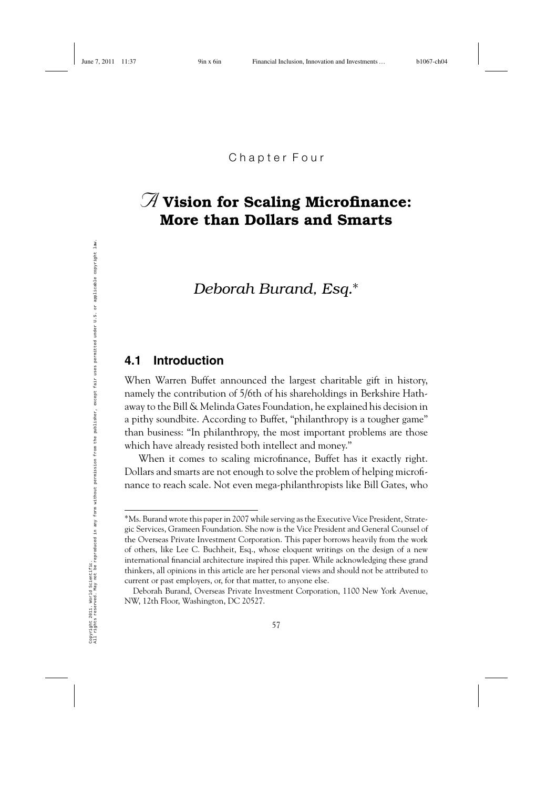# *A* **Vision for Scaling Microfinance: More than Dollars and Smarts**

*Deborah Burand, Esq.*∗

#### **4.1 Introduction**

When Warren Buffet announced the largest charitable gift in history, namely the contribution of 5/6th of his shareholdings in Berkshire Hathaway to the Bill & Melinda Gates Foundation, he explained his decision in a pithy soundbite. According to Buffet, "philanthropy is a tougher game" than business: "In philanthropy, the most important problems are those which have already resisted both intellect and money."

When it comes to scaling microfinance, Buffet has it exactly right. Dollars and smarts are not enough to solve the problem of helping microfinance to reach scale. Not even mega-philanthropists like Bill Gates, who

<sup>∗</sup>Ms. Burand wrote this paper in 2007 while serving as the Executive Vice President, Strategic Services, Grameen Foundation. She now is the Vice President and General Counsel of the Overseas Private Investment Corporation. This paper borrows heavily from the work of others, like Lee C. Buchheit, Esq., whose eloquent writings on the design of a new international financial architecture inspired this paper. While acknowledging these grand thinkers, all opinions in this article are her personal views and should not be attributed to current or past employers, or, for that matter, to anyone else.

Deborah Burand, Overseas Private Investment Corporation, 1100 New York Avenue, NW, 12th Floor, Washington, DC 20527.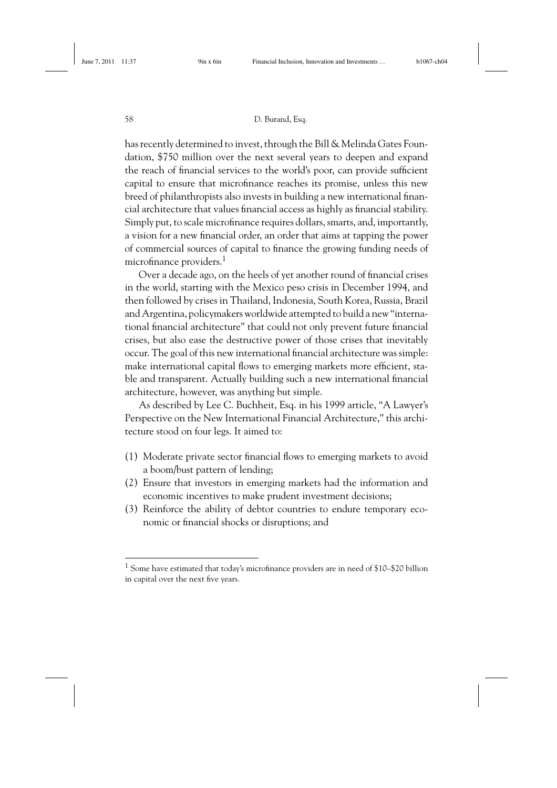has recently determined to invest, through the Bill & Melinda Gates Foundation, \$750 million over the next several years to deepen and expand the reach of financial services to the world's poor, can provide sufficient capital to ensure that microfinance reaches its promise, unless this new breed of philanthropists also invests in building a new international financial architecture that values financial access as highly as financial stability. Simply put, to scale microfinance requires dollars, smarts, and, importantly, a vision for a new financial order, an order that aims at tapping the power of commercial sources of capital to finance the growing funding needs of microfinance providers.<sup>1</sup>

Over a decade ago, on the heels of yet another round of financial crises in the world, starting with the Mexico peso crisis in December 1994, and then followed by crises in Thailand, Indonesia, South Korea, Russia, Brazil and Argentina, policymakers worldwide attempted to build a new "international financial architecture" that could not only prevent future financial crises, but also ease the destructive power of those crises that inevitably occur. The goal of this new international financial architecture was simple: make international capital flows to emerging markets more efficient, stable and transparent. Actually building such a new international financial architecture, however, was anything but simple.

As described by Lee C. Buchheit, Esq. in his 1999 article, "A Lawyer's Perspective on the New International Financial Architecture," this architecture stood on four legs. It aimed to:

- (1) Moderate private sector financial flows to emerging markets to avoid a boom/bust pattern of lending;
- (2) Ensure that investors in emerging markets had the information and economic incentives to make prudent investment decisions;
- (3) Reinforce the ability of debtor countries to endure temporary economic or financial shocks or disruptions; and

<sup>1</sup> Some have estimated that today's microfinance providers are in need of \$10–\$20 billion in capital over the next five years.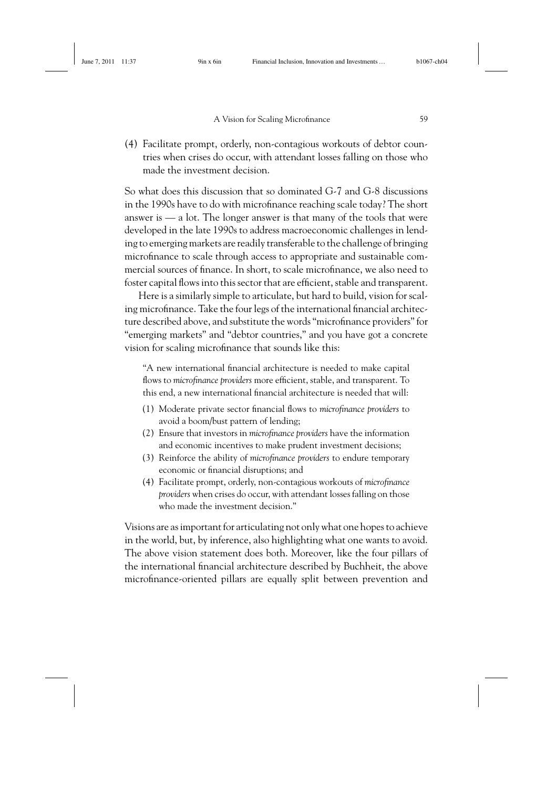(4) Facilitate prompt, orderly, non-contagious workouts of debtor countries when crises do occur, with attendant losses falling on those who made the investment decision.

So what does this discussion that so dominated G-7 and G-8 discussions in the 1990s have to do with microfinance reaching scale today? The short answer is — a lot. The longer answer is that many of the tools that were developed in the late 1990s to address macroeconomic challenges in lending to emerging markets are readily transferable to the challenge of bringing microfinance to scale through access to appropriate and sustainable commercial sources of finance. In short, to scale microfinance, we also need to foster capital flows into this sector that are efficient, stable and transparent.

Here is a similarly simple to articulate, but hard to build, vision for scaling microfinance. Take the four legs of the international financial architecture described above, and substitute the words "microfinance providers" for "emerging markets" and "debtor countries," and you have got a concrete vision for scaling microfinance that sounds like this:

"A new international financial architecture is needed to make capital flows to *microfinance providers* more efficient, stable, and transparent. To this end, a new international financial architecture is needed that will:

- (1) Moderate private sector financial flows to *microfinance providers* to avoid a boom/bust pattern of lending;
- (2) Ensure that investors in *microfinance providers* have the information and economic incentives to make prudent investment decisions;
- (3) Reinforce the ability of *microfinance providers* to endure temporary economic or financial disruptions; and
- (4) Facilitate prompt, orderly, non-contagious workouts of *microfinance providers* when crises do occur, with attendant losses falling on those who made the investment decision."

Visions are as important for articulating not only what one hopes to achieve in the world, but, by inference, also highlighting what one wants to avoid. The above vision statement does both. Moreover, like the four pillars of the international financial architecture described by Buchheit, the above microfinance-oriented pillars are equally split between prevention and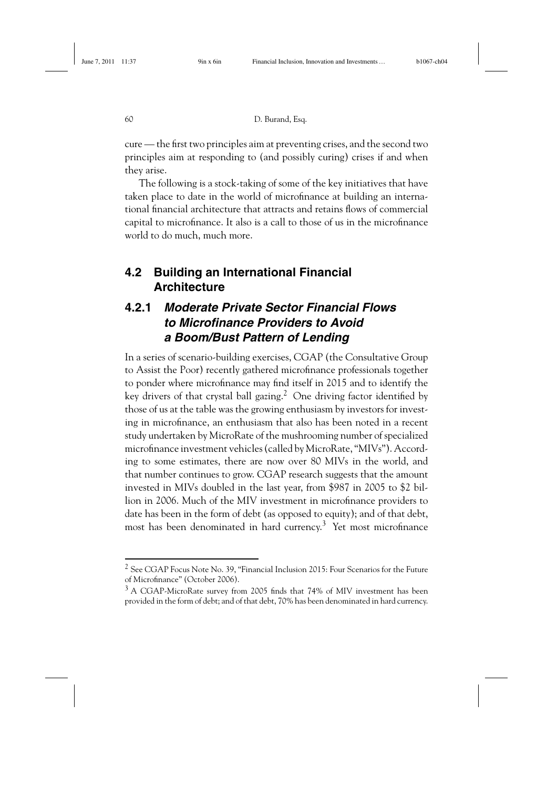cure — the first two principles aim at preventing crises, and the second two principles aim at responding to (and possibly curing) crises if and when they arise.

The following is a stock-taking of some of the key initiatives that have taken place to date in the world of microfinance at building an international financial architecture that attracts and retains flows of commercial capital to microfinance. It also is a call to those of us in the microfinance world to do much, much more.

### **4.2 Building an International Financial Architecture**

## **4.2.1** *Moderate Private Sector Financial Flows to Microfinance Providers to Avoid a Boom/Bust Pattern of Lending*

In a series of scenario-building exercises, CGAP (the Consultative Group to Assist the Poor) recently gathered microfinance professionals together to ponder where microfinance may find itself in 2015 and to identify the key drivers of that crystal ball gazing.<sup>2</sup> One driving factor identified by those of us at the table was the growing enthusiasm by investors for investing in microfinance, an enthusiasm that also has been noted in a recent study undertaken by MicroRate of the mushrooming number of specialized microfinance investment vehicles (called by MicroRate, "MIVs"). According to some estimates, there are now over 80 MIVs in the world, and that number continues to grow. CGAP research suggests that the amount invested in MIVs doubled in the last year, from \$987 in 2005 to \$2 billion in 2006. Much of the MIV investment in microfinance providers to date has been in the form of debt (as opposed to equity); and of that debt, most has been denominated in hard currency.3 Yet most microfinance

<sup>2</sup> See CGAP Focus Note No. 39, "Financial Inclusion 2015: Four Scenarios for the Future of Microfinance" (October 2006).

 $3$  A CGAP-MicroRate survey from 2005 finds that 74% of MIV investment has been provided in the form of debt; and of that debt, 70% has been denominated in hard currency.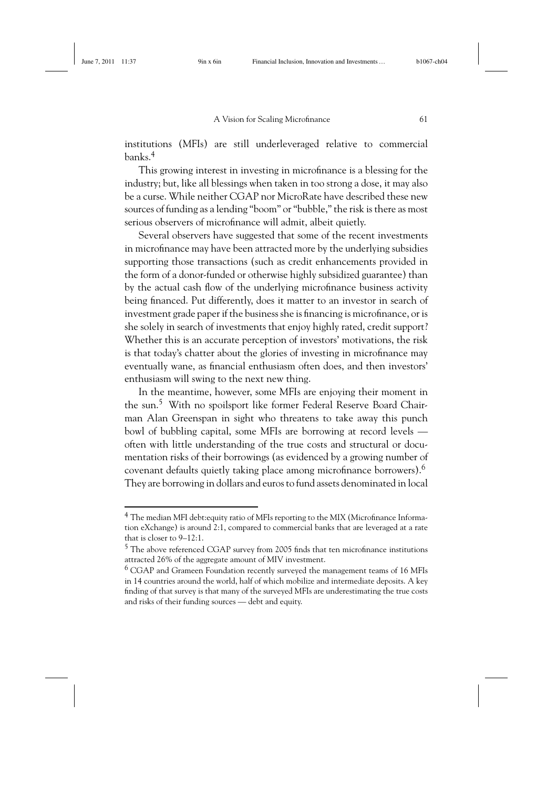institutions (MFIs) are still underleveraged relative to commercial banks.4

This growing interest in investing in microfinance is a blessing for the industry; but, like all blessings when taken in too strong a dose, it may also be a curse. While neither CGAP nor MicroRate have described these new sources of funding as a lending "boom" or "bubble," the risk is there as most serious observers of microfinance will admit, albeit quietly.

Several observers have suggested that some of the recent investments in microfinance may have been attracted more by the underlying subsidies supporting those transactions (such as credit enhancements provided in the form of a donor-funded or otherwise highly subsidized guarantee) than by the actual cash flow of the underlying microfinance business activity being financed. Put differently, does it matter to an investor in search of investment grade paper if the business she is financing is microfinance, or is she solely in search of investments that enjoy highly rated, credit support? Whether this is an accurate perception of investors' motivations, the risk is that today's chatter about the glories of investing in microfinance may eventually wane, as financial enthusiasm often does, and then investors' enthusiasm will swing to the next new thing.

In the meantime, however, some MFIs are enjoying their moment in the sun.<sup>5</sup> With no spoilsport like former Federal Reserve Board Chairman Alan Greenspan in sight who threatens to take away this punch bowl of bubbling capital, some MFIs are borrowing at record levels often with little understanding of the true costs and structural or documentation risks of their borrowings (as evidenced by a growing number of covenant defaults quietly taking place among microfinance borrowers).<sup>6</sup> They are borrowing in dollars and euros to fund assets denominated in local

<sup>4</sup> The median MFI debt:equity ratio of MFIs reporting to the MIX (Microfinance Information eXchange) is around 2:1, compared to commercial banks that are leveraged at a rate that is closer to 9–12:1.

<sup>5</sup> The above referenced CGAP survey from 2005 finds that ten microfinance institutions attracted 26% of the aggregate amount of MIV investment.

 $6$  CGAP and Grameen Foundation recently surveyed the management teams of 16 MFIs in 14 countries around the world, half of which mobilize and intermediate deposits. A key finding of that survey is that many of the surveyed MFIs are underestimating the true costs and risks of their funding sources — debt and equity.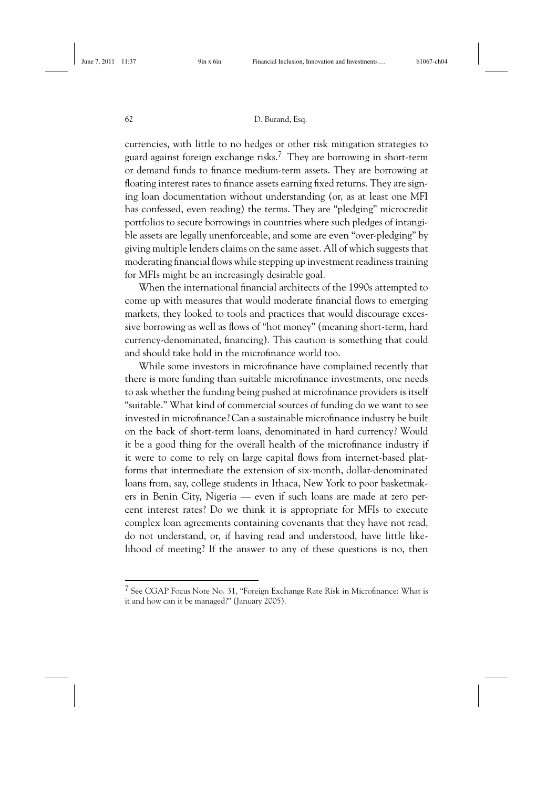currencies, with little to no hedges or other risk mitigation strategies to guard against foreign exchange risks.<sup>7</sup> They are borrowing in short-term or demand funds to finance medium-term assets. They are borrowing at floating interest rates to finance assets earning fixed returns. They are signing loan documentation without understanding (or, as at least one MFI has confessed, even reading) the terms. They are "pledging" microcredit portfolios to secure borrowings in countries where such pledges of intangible assets are legally unenforceable, and some are even "over-pledging" by giving multiple lenders claims on the same asset. All of which suggests that moderating financial flows while stepping up investment readiness training for MFIs might be an increasingly desirable goal.

When the international financial architects of the 1990s attempted to come up with measures that would moderate financial flows to emerging markets, they looked to tools and practices that would discourage excessive borrowing as well as flows of "hot money" (meaning short-term, hard currency-denominated, financing). This caution is something that could and should take hold in the microfinance world too.

While some investors in microfinance have complained recently that there is more funding than suitable microfinance investments, one needs to ask whether the funding being pushed at microfinance providers is itself "suitable." What kind of commercial sources of funding do we want to see invested in microfinance? Can a sustainable microfinance industry be built on the back of short-term loans, denominated in hard currency? Would it be a good thing for the overall health of the microfinance industry if it were to come to rely on large capital flows from internet-based platforms that intermediate the extension of six-month, dollar-denominated loans from, say, college students in Ithaca, New York to poor basketmakers in Benin City, Nigeria — even if such loans are made at zero percent interest rates? Do we think it is appropriate for MFIs to execute complex loan agreements containing covenants that they have not read, do not understand, or, if having read and understood, have little likelihood of meeting? If the answer to any of these questions is no, then

<sup>7</sup> See CGAP Focus Note No. 31, "Foreign Exchange Rate Risk in Microfinance: What is it and how can it be managed?" (January 2005).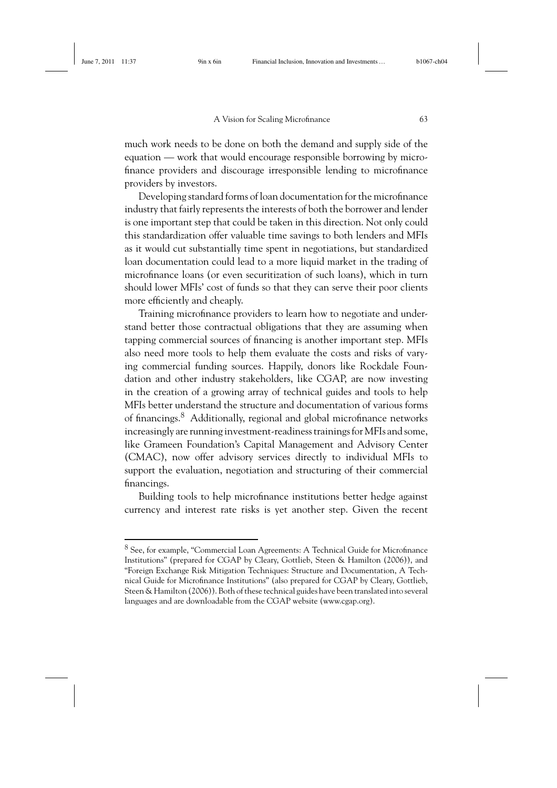much work needs to be done on both the demand and supply side of the equation — work that would encourage responsible borrowing by microfinance providers and discourage irresponsible lending to microfinance providers by investors.

Developing standard forms of loan documentation for the microfinance industry that fairly represents the interests of both the borrower and lender is one important step that could be taken in this direction. Not only could this standardization offer valuable time savings to both lenders and MFIs as it would cut substantially time spent in negotiations, but standardized loan documentation could lead to a more liquid market in the trading of microfinance loans (or even securitization of such loans), which in turn should lower MFIs' cost of funds so that they can serve their poor clients more efficiently and cheaply.

Training microfinance providers to learn how to negotiate and understand better those contractual obligations that they are assuming when tapping commercial sources of financing is another important step. MFIs also need more tools to help them evaluate the costs and risks of varying commercial funding sources. Happily, donors like Rockdale Foundation and other industry stakeholders, like CGAP, are now investing in the creation of a growing array of technical guides and tools to help MFIs better understand the structure and documentation of various forms of financings.8 Additionally, regional and global microfinance networks increasingly are running investment-readiness trainings for MFIs and some, like Grameen Foundation's Capital Management and Advisory Center (CMAC), now offer advisory services directly to individual MFIs to support the evaluation, negotiation and structuring of their commercial financings.

Building tools to help microfinance institutions better hedge against currency and interest rate risks is yet another step. Given the recent

<sup>8</sup> See, for example, "Commercial Loan Agreements: A Technical Guide for Microfinance Institutions" (prepared for CGAP by Cleary, Gottlieb, Steen & Hamilton (2006)), and "Foreign Exchange Risk Mitigation Techniques: Structure and Documentation, A Technical Guide for Microfinance Institutions" (also prepared for CGAP by Cleary, Gottlieb, Steen & Hamilton (2006)). Both of these technical guides have been translated into several languages and are downloadable from the CGAP website (www.cgap.org).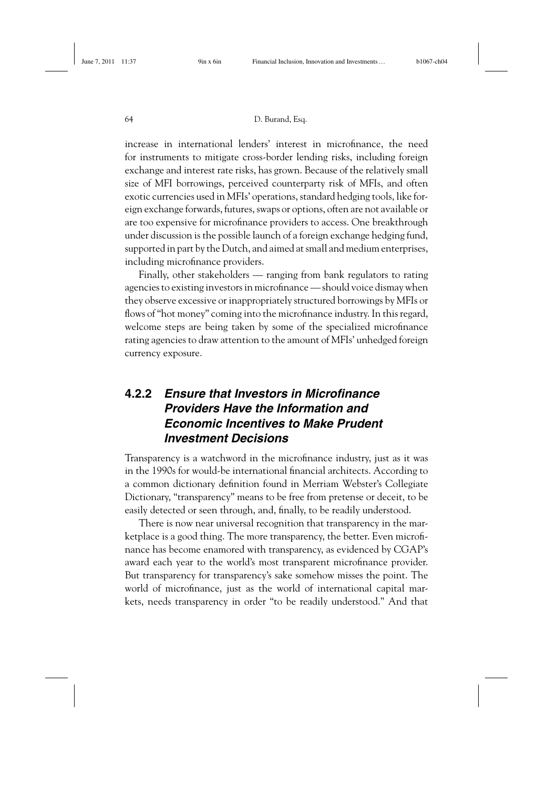#### 64 D. Burand, Esq.

increase in international lenders' interest in microfinance, the need for instruments to mitigate cross-border lending risks, including foreign exchange and interest rate risks, has grown. Because of the relatively small size of MFI borrowings, perceived counterparty risk of MFIs, and often exotic currencies used in MFIs' operations, standard hedging tools, like foreign exchange forwards, futures, swaps or options, often are not available or are too expensive for microfinance providers to access. One breakthrough under discussion is the possible launch of a foreign exchange hedging fund, supported in part by the Dutch, and aimed at small and medium enterprises, including microfinance providers.

Finally, other stakeholders — ranging from bank regulators to rating agencies to existing investors in microfinance — should voice dismay when they observe excessive or inappropriately structured borrowings by MFIs or flows of "hot money" coming into the microfinance industry. In this regard, welcome steps are being taken by some of the specialized microfinance rating agencies to draw attention to the amount of MFIs' unhedged foreign currency exposure.

#### **4.2.2** *Ensure that Investors in Microfinance Providers Have the Information and Economic Incentives to Make Prudent Investment Decisions*

Transparency is a watchword in the microfinance industry, just as it was in the 1990s for would-be international financial architects. According to a common dictionary definition found in Merriam Webster's Collegiate Dictionary, "transparency" means to be free from pretense or deceit, to be easily detected or seen through, and, finally, to be readily understood.

There is now near universal recognition that transparency in the marketplace is a good thing. The more transparency, the better. Even microfinance has become enamored with transparency, as evidenced by CGAP's award each year to the world's most transparent microfinance provider. But transparency for transparency's sake somehow misses the point. The world of microfinance, just as the world of international capital markets, needs transparency in order "to be readily understood." And that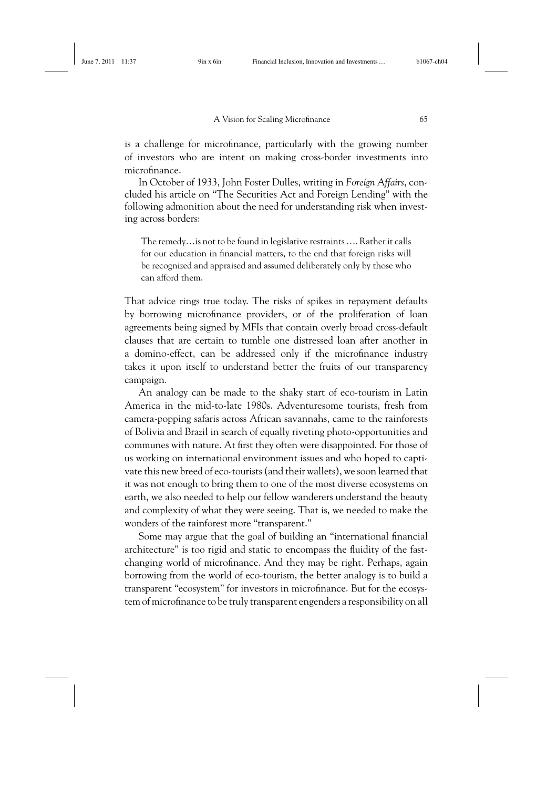is a challenge for microfinance, particularly with the growing number of investors who are intent on making cross-border investments into microfinance.

In October of 1933, John Foster Dulles, writing in *Foreign Affairs*, concluded his article on "The Securities Act and Foreign Lending" with the following admonition about the need for understanding risk when investing across borders:

The remedy…is not to be found in legislative restraints …. Rather it calls for our education in financial matters, to the end that foreign risks will be recognized and appraised and assumed deliberately only by those who can afford them.

That advice rings true today. The risks of spikes in repayment defaults by borrowing microfinance providers, or of the proliferation of loan agreements being signed by MFIs that contain overly broad cross-default clauses that are certain to tumble one distressed loan after another in a domino-effect, can be addressed only if the microfinance industry takes it upon itself to understand better the fruits of our transparency campaign.

An analogy can be made to the shaky start of eco-tourism in Latin America in the mid-to-late 1980s. Adventuresome tourists, fresh from camera-popping safaris across African savannahs, came to the rainforests of Bolivia and Brazil in search of equally riveting photo-opportunities and communes with nature. At first they often were disappointed. For those of us working on international environment issues and who hoped to captivate this new breed of eco-tourists (and their wallets), we soon learned that it was not enough to bring them to one of the most diverse ecosystems on earth, we also needed to help our fellow wanderers understand the beauty and complexity of what they were seeing. That is, we needed to make the wonders of the rainforest more "transparent."

Some may argue that the goal of building an "international financial architecture" is too rigid and static to encompass the fluidity of the fastchanging world of microfinance. And they may be right. Perhaps, again borrowing from the world of eco-tourism, the better analogy is to build a transparent "ecosystem" for investors in microfinance. But for the ecosystem of microfinance to be truly transparent engenders a responsibility on all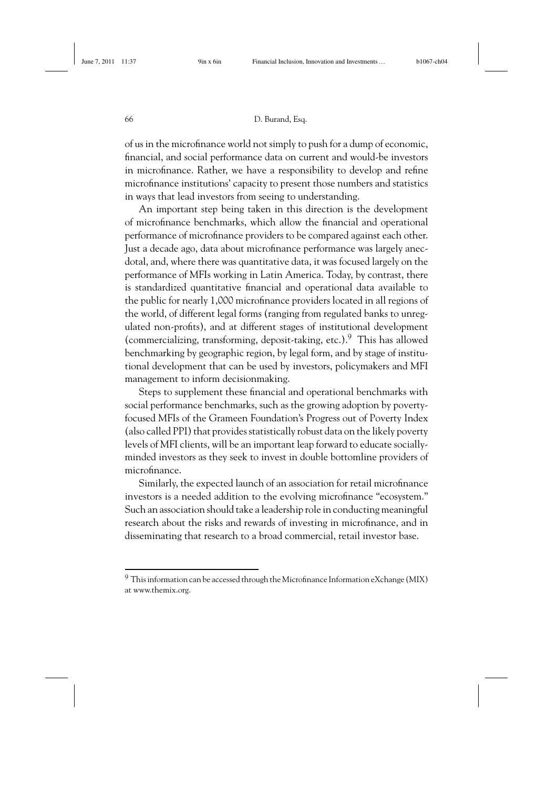of us in the microfinance world not simply to push for a dump of economic, financial, and social performance data on current and would-be investors in microfinance. Rather, we have a responsibility to develop and refine microfinance institutions' capacity to present those numbers and statistics in ways that lead investors from seeing to understanding.

An important step being taken in this direction is the development of microfinance benchmarks, which allow the financial and operational performance of microfinance providers to be compared against each other. Just a decade ago, data about microfinance performance was largely anecdotal, and, where there was quantitative data, it was focused largely on the performance of MFIs working in Latin America. Today, by contrast, there is standardized quantitative financial and operational data available to the public for nearly 1,000 microfinance providers located in all regions of the world, of different legal forms (ranging from regulated banks to unregulated non-profits), and at different stages of institutional development (commercializing, transforming, deposit-taking, etc.).9 This has allowed benchmarking by geographic region, by legal form, and by stage of institutional development that can be used by investors, policymakers and MFI management to inform decisionmaking.

Steps to supplement these financial and operational benchmarks with social performance benchmarks, such as the growing adoption by povertyfocused MFIs of the Grameen Foundation's Progress out of Poverty Index (also called PPI) that provides statistically robust data on the likely poverty levels of MFI clients, will be an important leap forward to educate sociallyminded investors as they seek to invest in double bottomline providers of microfinance.

Similarly, the expected launch of an association for retail microfinance investors is a needed addition to the evolving microfinance "ecosystem." Such an association should take a leadership role in conducting meaningful research about the risks and rewards of investing in microfinance, and in disseminating that research to a broad commercial, retail investor base.

 $9$  This information can be accessed through the Microfinance Information eXchange (MIX) at www.themix.org.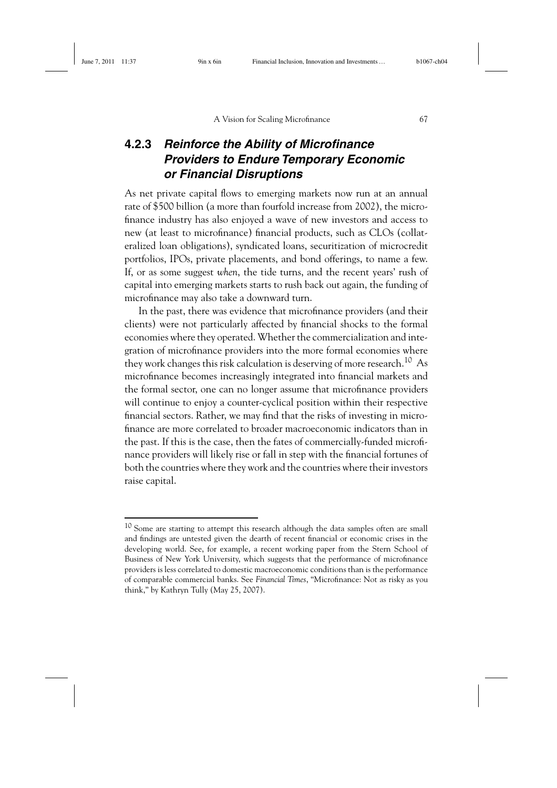#### **4.2.3** *Reinforce the Ability of Microfinance Providers to Endure Temporary Economic or Financial Disruptions*

As net private capital flows to emerging markets now run at an annual rate of \$500 billion (a more than fourfold increase from 2002), the microfinance industry has also enjoyed a wave of new investors and access to new (at least to microfinance) financial products, such as CLOs (collateralized loan obligations), syndicated loans, securitization of microcredit portfolios, IPOs, private placements, and bond offerings, to name a few. If, or as some suggest *when*, the tide turns, and the recent years' rush of capital into emerging markets starts to rush back out again, the funding of microfinance may also take a downward turn.

In the past, there was evidence that microfinance providers (and their clients) were not particularly affected by financial shocks to the formal economies where they operated. Whether the commercialization and integration of microfinance providers into the more formal economies where they work changes this risk calculation is deserving of more research.<sup>10</sup> As microfinance becomes increasingly integrated into financial markets and the formal sector, one can no longer assume that microfinance providers will continue to enjoy a counter-cyclical position within their respective financial sectors. Rather, we may find that the risks of investing in microfinance are more correlated to broader macroeconomic indicators than in the past. If this is the case, then the fates of commercially-funded microfinance providers will likely rise or fall in step with the financial fortunes of both the countries where they work and the countries where their investors raise capital.

<sup>10</sup> Some are starting to attempt this research although the data samples often are small and findings are untested given the dearth of recent financial or economic crises in the developing world. See, for example, a recent working paper from the Stern School of Business of New York University, which suggests that the performance of microfinance providers is less correlated to domestic macroeconomic conditions than is the performance of comparable commercial banks. See *Financial Times*, "Microfinance: Not as risky as you think," by Kathryn Tully (May 25, 2007).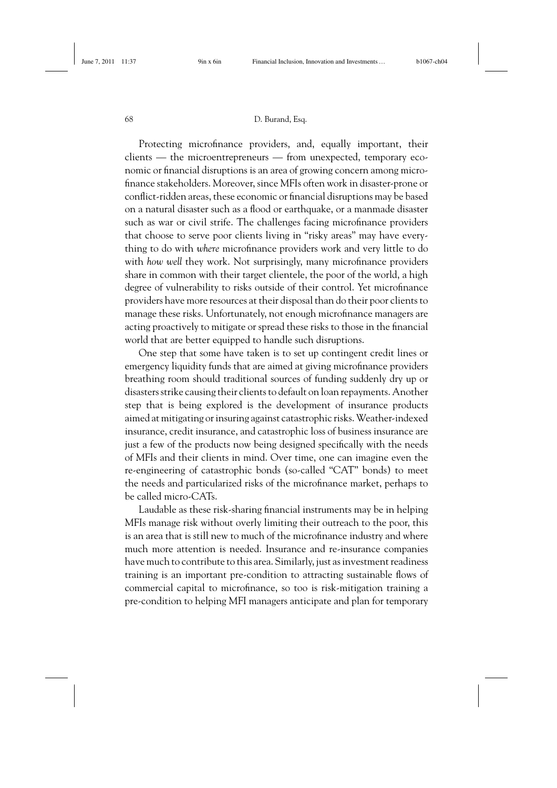Protecting microfinance providers, and, equally important, their clients — the microentrepreneurs — from unexpected, temporary economic or financial disruptions is an area of growing concern among microfinance stakeholders. Moreover, since MFIs often work in disaster-prone or conflict-ridden areas, these economic or financial disruptions may be based on a natural disaster such as a flood or earthquake, or a manmade disaster such as war or civil strife. The challenges facing microfinance providers that choose to serve poor clients living in "risky areas" may have everything to do with *where* microfinance providers work and very little to do with *how well* they work. Not surprisingly, many microfinance providers share in common with their target clientele, the poor of the world, a high degree of vulnerability to risks outside of their control. Yet microfinance providers have more resources at their disposal than do their poor clients to manage these risks. Unfortunately, not enough microfinance managers are acting proactively to mitigate or spread these risks to those in the financial world that are better equipped to handle such disruptions.

One step that some have taken is to set up contingent credit lines or emergency liquidity funds that are aimed at giving microfinance providers breathing room should traditional sources of funding suddenly dry up or disasters strike causing their clients to default on loan repayments. Another step that is being explored is the development of insurance products aimed at mitigating or insuring against catastrophic risks. Weather-indexed insurance, credit insurance, and catastrophic loss of business insurance are just a few of the products now being designed specifically with the needs of MFIs and their clients in mind. Over time, one can imagine even the re-engineering of catastrophic bonds (so-called "CAT" bonds) to meet the needs and particularized risks of the microfinance market, perhaps to be called micro-CATs.

Laudable as these risk-sharing financial instruments may be in helping MFIs manage risk without overly limiting their outreach to the poor, this is an area that is still new to much of the microfinance industry and where much more attention is needed. Insurance and re-insurance companies have much to contribute to this area. Similarly, just as investment readiness training is an important pre-condition to attracting sustainable flows of commercial capital to microfinance, so too is risk-mitigation training a pre-condition to helping MFI managers anticipate and plan for temporary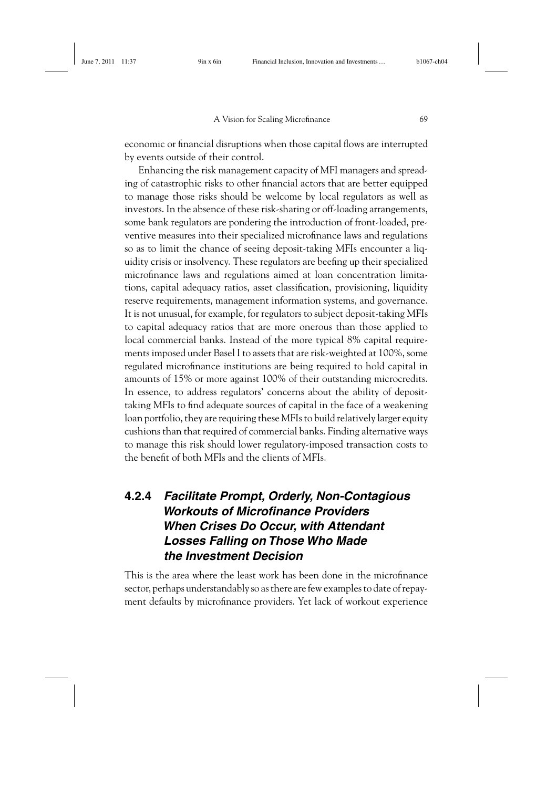economic or financial disruptions when those capital flows are interrupted by events outside of their control.

Enhancing the risk management capacity of MFI managers and spreading of catastrophic risks to other financial actors that are better equipped to manage those risks should be welcome by local regulators as well as investors. In the absence of these risk-sharing or off-loading arrangements, some bank regulators are pondering the introduction of front-loaded, preventive measures into their specialized microfinance laws and regulations so as to limit the chance of seeing deposit-taking MFIs encounter a liquidity crisis or insolvency. These regulators are beefing up their specialized microfinance laws and regulations aimed at loan concentration limitations, capital adequacy ratios, asset classification, provisioning, liquidity reserve requirements, management information systems, and governance. It is not unusual, for example, for regulators to subject deposit-taking MFIs to capital adequacy ratios that are more onerous than those applied to local commercial banks. Instead of the more typical 8% capital requirements imposed under Basel I to assets that are risk-weighted at 100%, some regulated microfinance institutions are being required to hold capital in amounts of 15% or more against 100% of their outstanding microcredits. In essence, to address regulators' concerns about the ability of deposittaking MFIs to find adequate sources of capital in the face of a weakening loan portfolio, they are requiring these MFIs to build relatively larger equity cushions than that required of commercial banks. Finding alternative ways to manage this risk should lower regulatory-imposed transaction costs to the benefit of both MFIs and the clients of MFIs.

### **4.2.4** *Facilitate Prompt, Orderly, Non-Contagious Workouts of Microfinance Providers When Crises Do Occur, with Attendant Losses Falling on Those Who Made the Investment Decision*

This is the area where the least work has been done in the microfinance sector, perhaps understandably so as there are few examples to date of repayment defaults by microfinance providers. Yet lack of workout experience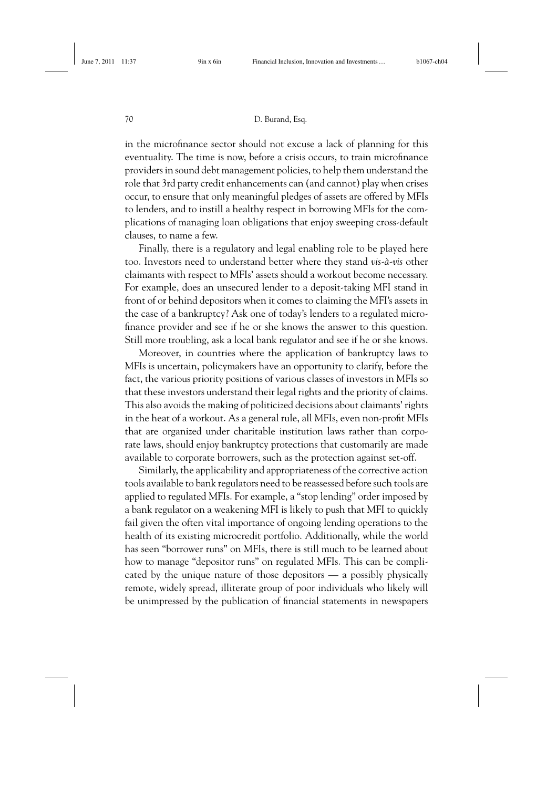in the microfinance sector should not excuse a lack of planning for this eventuality. The time is now, before a crisis occurs, to train microfinance providers in sound debt management policies, to help them understand the role that 3rd party credit enhancements can (and cannot) play when crises occur, to ensure that only meaningful pledges of assets are offered by MFIs to lenders, and to instill a healthy respect in borrowing MFIs for the complications of managing loan obligations that enjoy sweeping cross-default clauses, to name a few.

Finally, there is a regulatory and legal enabling role to be played here too. Investors need to understand better where they stand *vis-à-vis* other claimants with respect to MFIs' assets should a workout become necessary. For example, does an unsecured lender to a deposit-taking MFI stand in front of or behind depositors when it comes to claiming the MFI's assets in the case of a bankruptcy? Ask one of today's lenders to a regulated microfinance provider and see if he or she knows the answer to this question. Still more troubling, ask a local bank regulator and see if he or she knows.

Moreover, in countries where the application of bankruptcy laws to MFIs is uncertain, policymakers have an opportunity to clarify, before the fact, the various priority positions of various classes of investors in MFIs so that these investors understand their legal rights and the priority of claims. This also avoids the making of politicized decisions about claimants' rights in the heat of a workout. As a general rule, all MFIs, even non-profit MFIs that are organized under charitable institution laws rather than corporate laws, should enjoy bankruptcy protections that customarily are made available to corporate borrowers, such as the protection against set-off.

Similarly, the applicability and appropriateness of the corrective action tools available to bank regulators need to be reassessed before such tools are applied to regulated MFIs. For example, a "stop lending" order imposed by a bank regulator on a weakening MFI is likely to push that MFI to quickly fail given the often vital importance of ongoing lending operations to the health of its existing microcredit portfolio. Additionally, while the world has seen "borrower runs" on MFIs, there is still much to be learned about how to manage "depositor runs" on regulated MFIs. This can be complicated by the unique nature of those depositors — a possibly physically remote, widely spread, illiterate group of poor individuals who likely will be unimpressed by the publication of financial statements in newspapers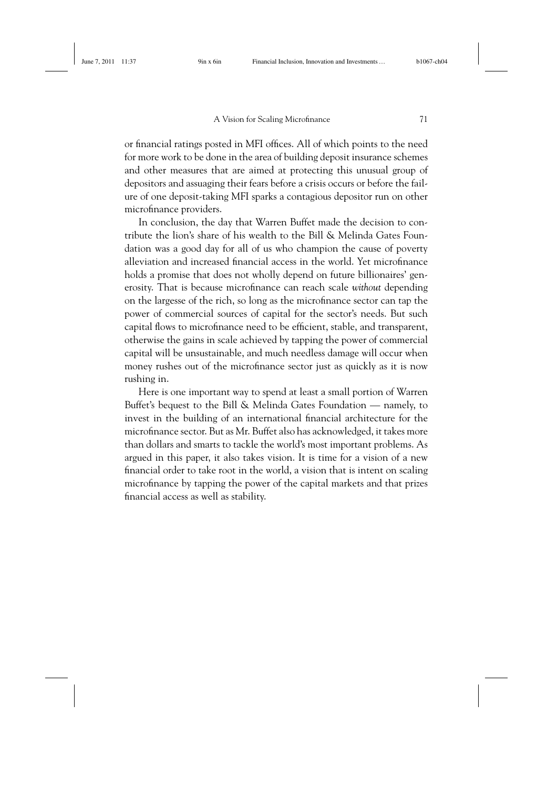or financial ratings posted in MFI offices. All of which points to the need for more work to be done in the area of building deposit insurance schemes and other measures that are aimed at protecting this unusual group of depositors and assuaging their fears before a crisis occurs or before the failure of one deposit-taking MFI sparks a contagious depositor run on other microfinance providers.

In conclusion, the day that Warren Buffet made the decision to contribute the lion's share of his wealth to the Bill & Melinda Gates Foundation was a good day for all of us who champion the cause of poverty alleviation and increased financial access in the world. Yet microfinance holds a promise that does not wholly depend on future billionaires' generosity. That is because microfinance can reach scale *without* depending on the largesse of the rich, so long as the microfinance sector can tap the power of commercial sources of capital for the sector's needs. But such capital flows to microfinance need to be efficient, stable, and transparent, otherwise the gains in scale achieved by tapping the power of commercial capital will be unsustainable, and much needless damage will occur when money rushes out of the microfinance sector just as quickly as it is now rushing in.

Here is one important way to spend at least a small portion of Warren Buffet's bequest to the Bill & Melinda Gates Foundation — namely, to invest in the building of an international financial architecture for the microfinance sector. But as Mr. Buffet also has acknowledged, it takes more than dollars and smarts to tackle the world's most important problems. As argued in this paper, it also takes vision. It is time for a vision of a new financial order to take root in the world, a vision that is intent on scaling microfinance by tapping the power of the capital markets and that prizes financial access as well as stability.